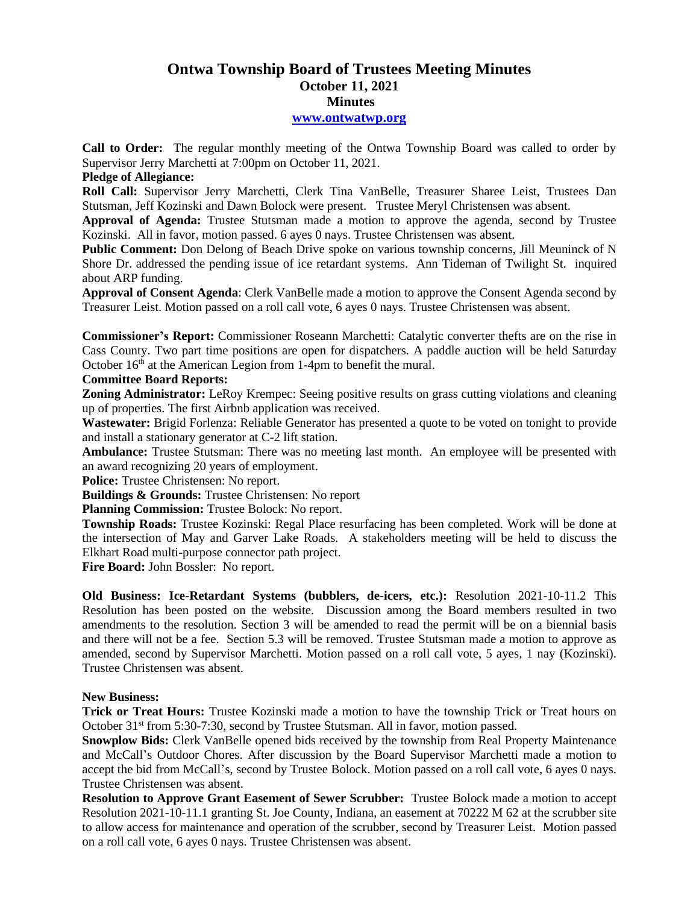# **Ontwa Township Board of Trustees Meeting Minutes October 11, 2021 Minutes**

#### **[www.ontwatwp.org](http://www.ontwatwp.org/)**

**Call to Order:** The regular monthly meeting of the Ontwa Township Board was called to order by Supervisor Jerry Marchetti at 7:00pm on October 11, 2021.

### **Pledge of Allegiance:**

**Roll Call:** Supervisor Jerry Marchetti, Clerk Tina VanBelle, Treasurer Sharee Leist, Trustees Dan Stutsman, Jeff Kozinski and Dawn Bolock were present. Trustee Meryl Christensen was absent.

**Approval of Agenda:** Trustee Stutsman made a motion to approve the agenda, second by Trustee Kozinski. All in favor, motion passed. 6 ayes 0 nays. Trustee Christensen was absent.

**Public Comment:** Don Delong of Beach Drive spoke on various township concerns, Jill Meuninck of N Shore Dr. addressed the pending issue of ice retardant systems. Ann Tideman of Twilight St. inquired about ARP funding.

**Approval of Consent Agenda**: Clerk VanBelle made a motion to approve the Consent Agenda second by Treasurer Leist. Motion passed on a roll call vote, 6 ayes 0 nays. Trustee Christensen was absent.

**Commissioner's Report:** Commissioner Roseann Marchetti: Catalytic converter thefts are on the rise in Cass County. Two part time positions are open for dispatchers. A paddle auction will be held Saturday October 16<sup>th</sup> at the American Legion from 1-4pm to benefit the mural.

## **Committee Board Reports:**

**Zoning Administrator:** LeRoy Krempec: Seeing positive results on grass cutting violations and cleaning up of properties. The first Airbnb application was received.

**Wastewater:** Brigid Forlenza: Reliable Generator has presented a quote to be voted on tonight to provide and install a stationary generator at C-2 lift station.

**Ambulance:** Trustee Stutsman: There was no meeting last month. An employee will be presented with an award recognizing 20 years of employment.

**Police:** Trustee Christensen: No report.

**Buildings & Grounds:** Trustee Christensen: No report

**Planning Commission:** Trustee Bolock: No report.

**Township Roads:** Trustee Kozinski: Regal Place resurfacing has been completed. Work will be done at the intersection of May and Garver Lake Roads. A stakeholders meeting will be held to discuss the Elkhart Road multi-purpose connector path project.

**Fire Board:** John Bossler: No report.

**Old Business: Ice-Retardant Systems (bubblers, de-icers, etc.):** Resolution 2021-10-11.2 This Resolution has been posted on the website. Discussion among the Board members resulted in two amendments to the resolution. Section 3 will be amended to read the permit will be on a biennial basis and there will not be a fee. Section 5.3 will be removed. Trustee Stutsman made a motion to approve as amended, second by Supervisor Marchetti. Motion passed on a roll call vote, 5 ayes, 1 nay (Kozinski). Trustee Christensen was absent.

### **New Business:**

**Trick or Treat Hours:** Trustee Kozinski made a motion to have the township Trick or Treat hours on October 31<sup>st</sup> from 5:30-7:30, second by Trustee Stutsman. All in favor, motion passed.

**Snowplow Bids:** Clerk VanBelle opened bids received by the township from Real Property Maintenance and McCall's Outdoor Chores. After discussion by the Board Supervisor Marchetti made a motion to accept the bid from McCall's, second by Trustee Bolock. Motion passed on a roll call vote, 6 ayes 0 nays. Trustee Christensen was absent.

**Resolution to Approve Grant Easement of Sewer Scrubber:** Trustee Bolock made a motion to accept Resolution 2021-10-11.1 granting St. Joe County, Indiana, an easement at 70222 M 62 at the scrubber site to allow access for maintenance and operation of the scrubber, second by Treasurer Leist. Motion passed on a roll call vote, 6 ayes 0 nays. Trustee Christensen was absent.